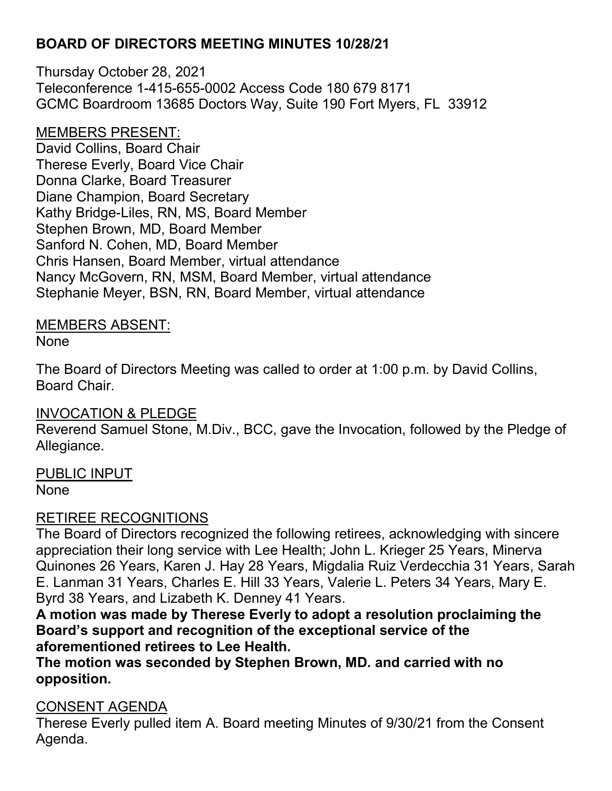Thursday October 28, 2021 Teleconference 1-415-655-0002 Access Code 180 679 8171 GCMC Boardroom 13685 Doctors Way, Suite 190 Fort Myers, FL 33912

MEMBERS PRESENT:

David Collins, Board Chair Therese Everly, Board Vice Chair Donna Clarke, Board Treasurer Diane Champion, Board Secretary Kathy Bridge-Liles, RN, MS, Board Member Stephen Brown, MD, Board Member Sanford N. Cohen, MD, Board Member Chris Hansen, Board Member, virtual attendance Nancy McGovern, RN, MSM, Board Member, virtual attendance Stephanie Meyer, BSN, RN, Board Member, virtual attendance

#### MEMBERS ABSENT:

None

The Board of Directors Meeting was called to order at 1:00 p.m. by David Collins, Board Chair.

## INVOCATION & PLEDGE

Reverend Samuel Stone, M.Div., BCC, gave the Invocation, followed by the Pledge of Allegiance.

#### PUBLIC INPUT

None

## RETIREE RECOGNITIONS

The Board of Directors recognized the following retirees, acknowledging with sincere appreciation their long service with Lee Health; John L. Krieger 25 Years, Minerva Quinones 26 Years, Karen J. Hay 28 Years, Migdalia Ruiz Verdecchia 31 Years, Sarah E. Lanman 31 Years, Charles E. Hill 33 Years, Valerie L. Peters 34 Years, Mary E. Byrd 38 Years, and Lizabeth K. Denney 41 Years.

**A motion was made by Therese Everly to adopt a resolution proclaiming the Board's support and recognition of the exceptional service of the aforementioned retirees to Lee Health.**

**The motion was seconded by Stephen Brown, MD. and carried with no opposition.**

#### CONSENT AGENDA

Therese Everly pulled item A. Board meeting Minutes of 9/30/21 from the Consent Agenda.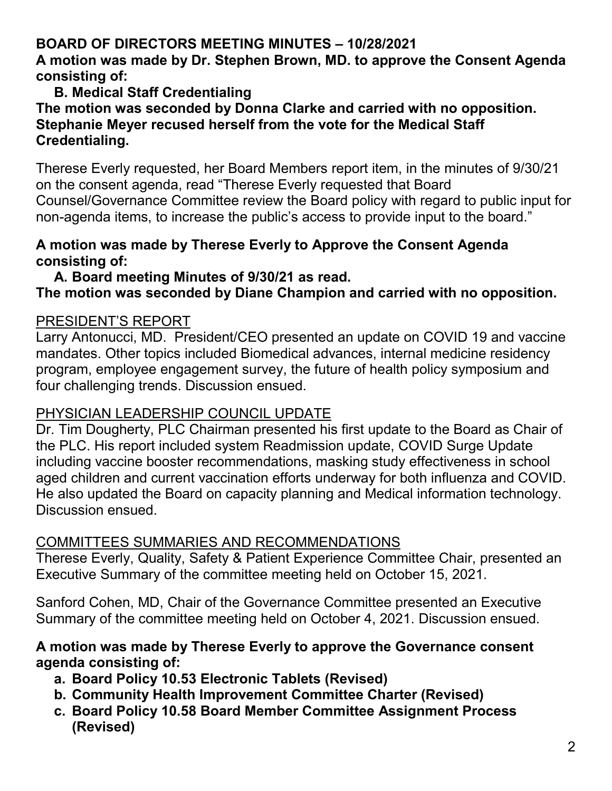### **A motion was made by Dr. Stephen Brown, MD. to approve the Consent Agenda consisting of:**

#### **B. Medical Staff Credentialing The motion was seconded by Donna Clarke and carried with no opposition. Stephanie Meyer recused herself from the vote for the Medical Staff Credentialing.**

Therese Everly requested, her Board Members report item, in the minutes of 9/30/21 on the consent agenda, read "Therese Everly requested that Board Counsel/Governance Committee review the Board policy with regard to public input for non-agenda items, to increase the public's access to provide input to the board."

### **A motion was made by Therese Everly to Approve the Consent Agenda consisting of:**

#### **A. Board meeting Minutes of 9/30/21 as read.**

## **The motion was seconded by Diane Champion and carried with no opposition.**

#### PRESIDENT'S REPORT

Larry Antonucci, MD. President/CEO presented an update on COVID 19 and vaccine mandates. Other topics included Biomedical advances, internal medicine residency program, employee engagement survey, the future of health policy symposium and four challenging trends. Discussion ensued.

## PHYSICIAN LEADERSHIP COUNCIL UPDATE

Dr. Tim Dougherty, PLC Chairman presented his first update to the Board as Chair of the PLC. His report included system Readmission update, COVID Surge Update including vaccine booster recommendations, masking study effectiveness in school aged children and current vaccination efforts underway for both influenza and COVID. He also updated the Board on capacity planning and Medical information technology. Discussion ensued.

## COMMITTEES SUMMARIES AND RECOMMENDATIONS

Therese Everly, Quality, Safety & Patient Experience Committee Chair, presented an Executive Summary of the committee meeting held on October 15, 2021.

Sanford Cohen, MD, Chair of the Governance Committee presented an Executive Summary of the committee meeting held on October 4, 2021. Discussion ensued.

#### **A motion was made by Therese Everly to approve the Governance consent agenda consisting of:**

- **a. Board Policy 10.53 Electronic Tablets (Revised)**
- **b. Community Health Improvement Committee Charter (Revised)**
- **c. Board Policy 10.58 Board Member Committee Assignment Process (Revised)**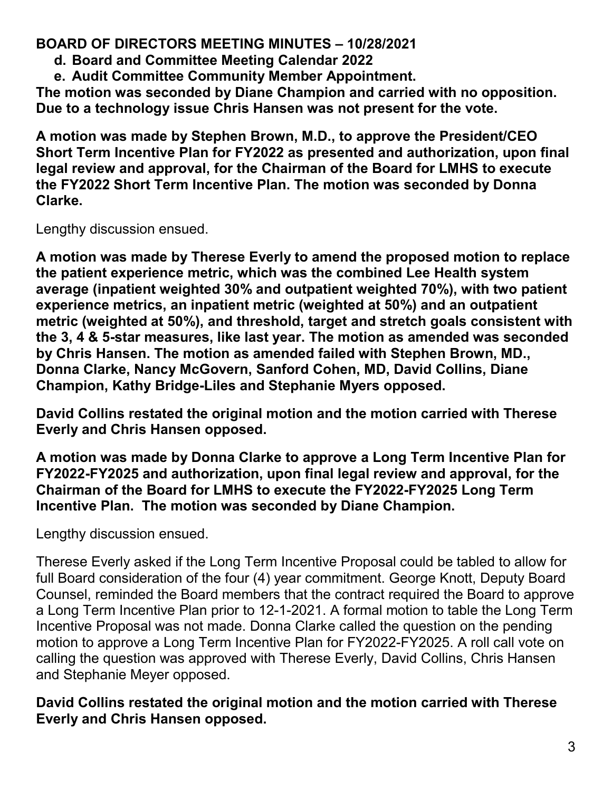- **d. Board and Committee Meeting Calendar 2022**
- **e. Audit Committee Community Member Appointment.**

**The motion was seconded by Diane Champion and carried with no opposition. Due to a technology issue Chris Hansen was not present for the vote.**

**A motion was made by Stephen Brown, M.D., to approve the President/CEO Short Term Incentive Plan for FY2022 as presented and authorization, upon final legal review and approval, for the Chairman of the Board for LMHS to execute the FY2022 Short Term Incentive Plan. The motion was seconded by Donna Clarke.**

Lengthy discussion ensued.

**A motion was made by Therese Everly to amend the proposed motion to replace the patient experience metric, which was the combined Lee Health system average (inpatient weighted 30% and outpatient weighted 70%), with two patient experience metrics, an inpatient metric (weighted at 50%) and an outpatient metric (weighted at 50%), and threshold, target and stretch goals consistent with the 3, 4 & 5-star measures, like last year. The motion as amended was seconded by Chris Hansen. The motion as amended failed with Stephen Brown, MD., Donna Clarke, Nancy McGovern, Sanford Cohen, MD, David Collins, Diane Champion, Kathy Bridge-Liles and Stephanie Myers opposed.**

**David Collins restated the original motion and the motion carried with Therese Everly and Chris Hansen opposed.**

**A motion was made by Donna Clarke to approve a Long Term Incentive Plan for FY2022-FY2025 and authorization, upon final legal review and approval, for the Chairman of the Board for LMHS to execute the FY2022-FY2025 Long Term Incentive Plan. The motion was seconded by Diane Champion.**

Lengthy discussion ensued.

Therese Everly asked if the Long Term Incentive Proposal could be tabled to allow for full Board consideration of the four (4) year commitment. George Knott, Deputy Board Counsel, reminded the Board members that the contract required the Board to approve a Long Term Incentive Plan prior to 12-1-2021. A formal motion to table the Long Term Incentive Proposal was not made. Donna Clarke called the question on the pending motion to approve a Long Term Incentive Plan for FY2022-FY2025. A roll call vote on calling the question was approved with Therese Everly, David Collins, Chris Hansen and Stephanie Meyer opposed.

**David Collins restated the original motion and the motion carried with Therese Everly and Chris Hansen opposed.**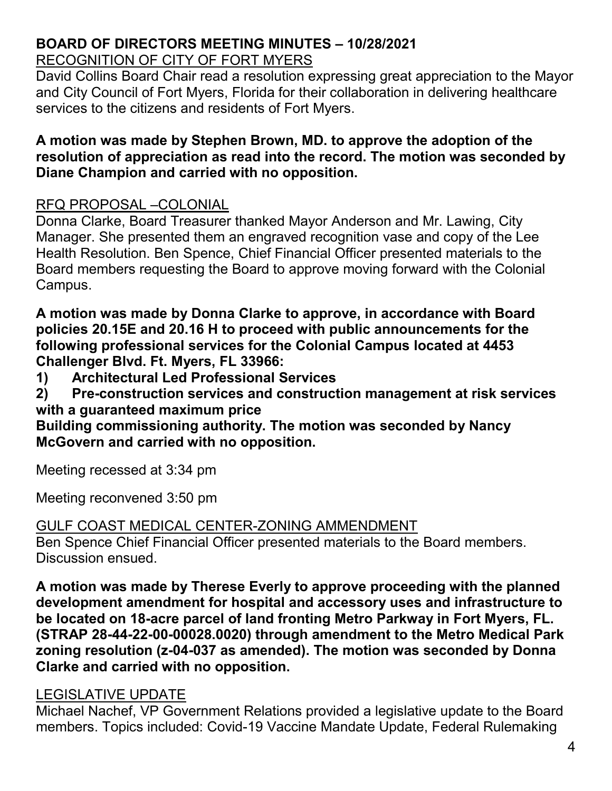RECOGNITION OF CITY OF FORT MYERS

David Collins Board Chair read a resolution expressing great appreciation to the Mayor and City Council of Fort Myers, Florida for their collaboration in delivering healthcare services to the citizens and residents of Fort Myers.

### **A motion was made by Stephen Brown, MD. to approve the adoption of the resolution of appreciation as read into the record. The motion was seconded by Diane Champion and carried with no opposition.**

# RFQ PROPOSAL –COLONIAL

Donna Clarke, Board Treasurer thanked Mayor Anderson and Mr. Lawing, City Manager. She presented them an engraved recognition vase and copy of the Lee Health Resolution. Ben Spence, Chief Financial Officer presented materials to the Board members requesting the Board to approve moving forward with the Colonial Campus.

**A motion was made by Donna Clarke to approve, in accordance with Board policies 20.15E and 20.16 H to proceed with public announcements for the following professional services for the Colonial Campus located at 4453 Challenger Blvd. Ft. Myers, FL 33966:**

**1) Architectural Led Professional Services**

**2) Pre-construction services and construction management at risk services with a guaranteed maximum price**

**Building commissioning authority. The motion was seconded by Nancy McGovern and carried with no opposition.**

Meeting recessed at 3:34 pm

Meeting reconvened 3:50 pm

## GULF COAST MEDICAL CENTER-ZONING AMMENDMENT

Ben Spence Chief Financial Officer presented materials to the Board members. Discussion ensued.

**A motion was made by Therese Everly to approve proceeding with the planned development amendment for hospital and accessory uses and infrastructure to be located on 18-acre parcel of land fronting Metro Parkway in Fort Myers, FL. (STRAP 28-44-22-00-00028.0020) through amendment to the Metro Medical Park zoning resolution (z-04-037 as amended). The motion was seconded by Donna Clarke and carried with no opposition.**

# LEGISLATIVE UPDATE

Michael Nachef, VP Government Relations provided a legislative update to the Board members. Topics included: Covid-19 Vaccine Mandate Update, Federal Rulemaking